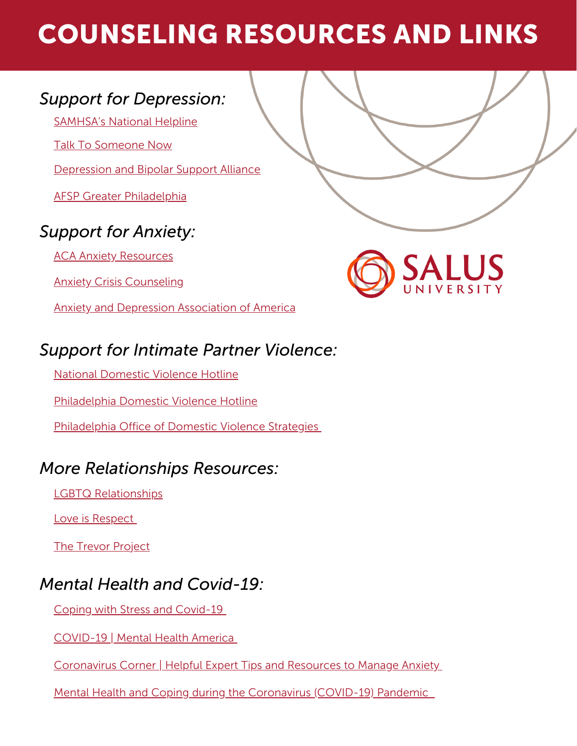# COUNSELING RESOURCES AND LINKS

# *Support for Depression:*

[SAMHSA's](https://www.samhsa.gov/find-help/national-helpline) National Helpline

Talk To [Someone](https://suicidepreventionlifeline.org/talk-to-someone-now/) Now

[Depression](https://www.dbsalliance.org/support/chapters-and-support-groups/find-a-support-group/?state=PA) and Bipolar Support Alliance

AFSP Greater [Philadelphia](https://afsp.org/chapter/greater-philadelphia)

# *Support for Anxiety:*

**ACA Anxiety [Resources](https://www.counseling.org/knowledge-center/mental-health-resources/anxiety)** 

Anxiety Crisis [Counseling](https://www.crisistextline.org/help-for-anxiety/)

Anxiety and Depression [Association](https://adaa.org/) of America



# *Support for Intimate Partner Violence:*

National [Domestic](https://www.thehotline.org/) Violence Hotline

[Philadelphia](https://www.womenagainstabuse.org/services/philadelphia-domestic-violence-hotline) Domestic Violence Hotline

[Philadelphia](https://www.phila.gov/departments/office-of-domestic-violence-strategies/resources/) Office of Domestic Violence Strategies

# *More Relationships Resources:*

LGBTQ [Relationships](https://stopthehurt.org/lgbtq-relationships/)

Love is [Respect](https://www.loveisrespect.org/get-relationship-help/)

**The Trevor [Project](https://www.thetrevorproject.org/resources/article/resources-for-healthy-relationships/)** 

# *Mental Health and Covid-19:*

Coping with Stress and [Covid-19](https://www.cdc.gov/mentalhealth/stress-coping/cope-with-stress/index.html)

[COVID-19](https://www.mhanational.org/covid19) | Mental Health America

[Coronavirus](https://adaa.org/understanding-anxiety/coronavirus-anxiety-helpful-resources) Corner | Helpful Expert Tips and Resources to Manage Anxiety

Mental Health and Coping during the [Coronavirus](https://www.hhs.gov/coronavirus/mental-health-and-coping/index.html#tips) (COVID-19) Pandemic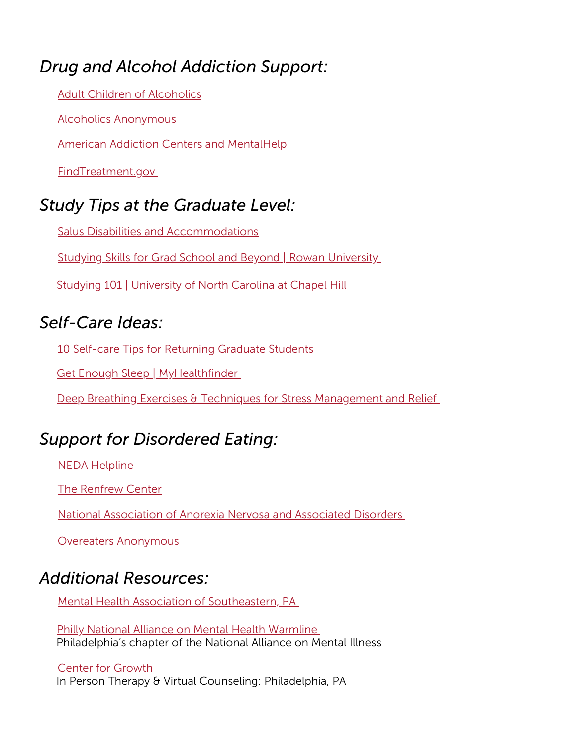# *Drug and Alcohol Addiction Support:*

Adult Children of [Alcoholics](http://www.adultchildren.org/)

Alcoholics [Anonymous](http://www.aa.org/)

American Addiction Centers and [MentalHelp](https://www.mentalhelp.net/)

[FindTreatment.gov](https://findtreatment.gov/)

### *Study Tips at the Graduate Level:*

Salus Disabilities and [Accommodations](https://www.salus.edu/Life/Student-Services/OAS.aspx)

Studying Skills for Grad School and Beyond | Rowan [University](https://gsbs.rowan.edu/documents/studyskills.pdf)

Studying 101 | [University](https://learningcenter.unc.edu/tips-and-tools/studying-101-study-smarter-not-harder/) of North Carolina at Chapel Hill

# *Self-Care Ideas:*

10 Self-care Tips for [Returning](https://gsc.upenn.edu/10-self-care-tips-returning-graduate-students) Graduate Students

Get Enough Sleep | [MyHealthfinder](https://health.gov/myhealthfinder/topics/everyday-healthy-living/mental-health-and-relationships/get-enough-sleep)

Deep Breathing Exercises & Techniques for Stress [Management](https://www.webmd.com/balance/stress-management/stress-relief-breathing-techniques) and Relief

### *Support for Disordered Eating:*

NEDA [Helpline](https://www.nationaleatingdisorders.org/help-support)

The [Renfrew](https://renfrewcenter.com/resources/for-you/) Center

National [Association](http://www.anad.org/) of Anorexia Nervosa and Associated Disorder[s](http://www.anad.org/)

Overeaters [Anonymous](https://oa.org/find-a-meeting/?type=0)

#### *Additional Resources:*

Mental Health Association of [Southeastern,](https://www.mentalhealthpartnerships.org/get-help) PA

Philly National Alliance on Mental Health [Warmline](https://namiphilly.org/) Philadelphia's chapter of the National Alliance on Mental Illness

In Person Therapy & Virtual Counseling: Philadelphia, PA Center for [Growth](https://www.thecenterforgrowth.com/)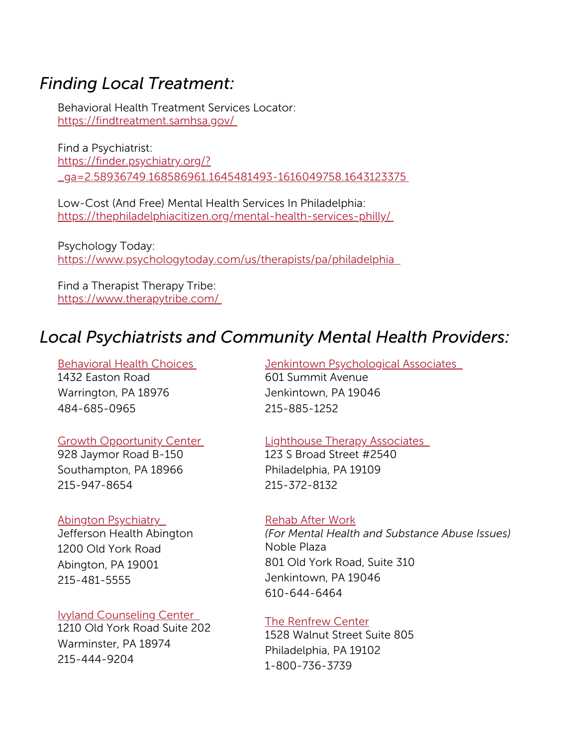#### *Finding Local Treatment:*

Behavioral Health Treatment Services Locator: <https://findtreatment.samhsa.gov/>

Find a Psychiatrist: https://finder.psychiatry.org/? [\\_ga=2.58936749.168586961.1645481493-1616049758.1643123375](https://finder.psychiatry.org/?_ga=2.58936749.168586961.1645481493-1616049758.1643123375)

Low-Cost (And Free) Mental Health Services In Philadelphia: <https://thephiladelphiacitizen.org/mental-health-services-philly/>

Psychology Today: [https://www.psychologytoday.com/us/therapists/pa/philadelphia](https://thephiladelphiacitizen.org/mental-health-services-philly/)

Find a Therapist Therapy Tribe: <https://www.therapytribe.com/>

# *Local Psychiatrists and Community Mental Health Providers:*

1432 Easton Road Warrington, PA 18976 484-685-0965 [Behavioral](https://www.behavioral-health-choices.com/) Health Choice[s](https://www.behavioral-health-choices.com/)

#### Growth [Opportunity](http://gocenter.net/) Cente[r](http://gocenter.net/)

928 Jaymor Road B-150 Southampton, PA 18966 215-947-8654

#### **Abington [Psychiatry](https://www.abingtonhealth.org/services-specialties/)**

Jefferson Health Abington 1200 Old York Road Abington, PA 19001 215-481-5555

#### Ivyland [Counseling](https://ivyland.cc/) Center

1210 Old York Road Suite 202 Warminster, PA 18974 215-444-9204

601 Summit Avenue Jenkintown, PA 19046 215-885-1252 **Jenkintown [Psychological](http://www.jpahealth.com/) Associates** 

#### [Lighthouse](https://www.lighthousetherapyassociates.com/) Therapy Associates

123 S Broad Street #2540 Philadelphia, PA 19109 215-372-8132

#### [Rehab](https://rehabafterwork.pyramidhealthcarepa.com/) After Work

Noble Plaza 801 Old York Road, Suite 310 Jenkintown, PA 19046 610-644-6464 *(For Mental Health and Substance Abuse Issues)*

#### The [Renfrew](https://renfrewcenter.com/locations/center-city-pa/) Center

1528 Walnut Street Suite 805 Philadelphia, PA 19102 1-800-736-3739